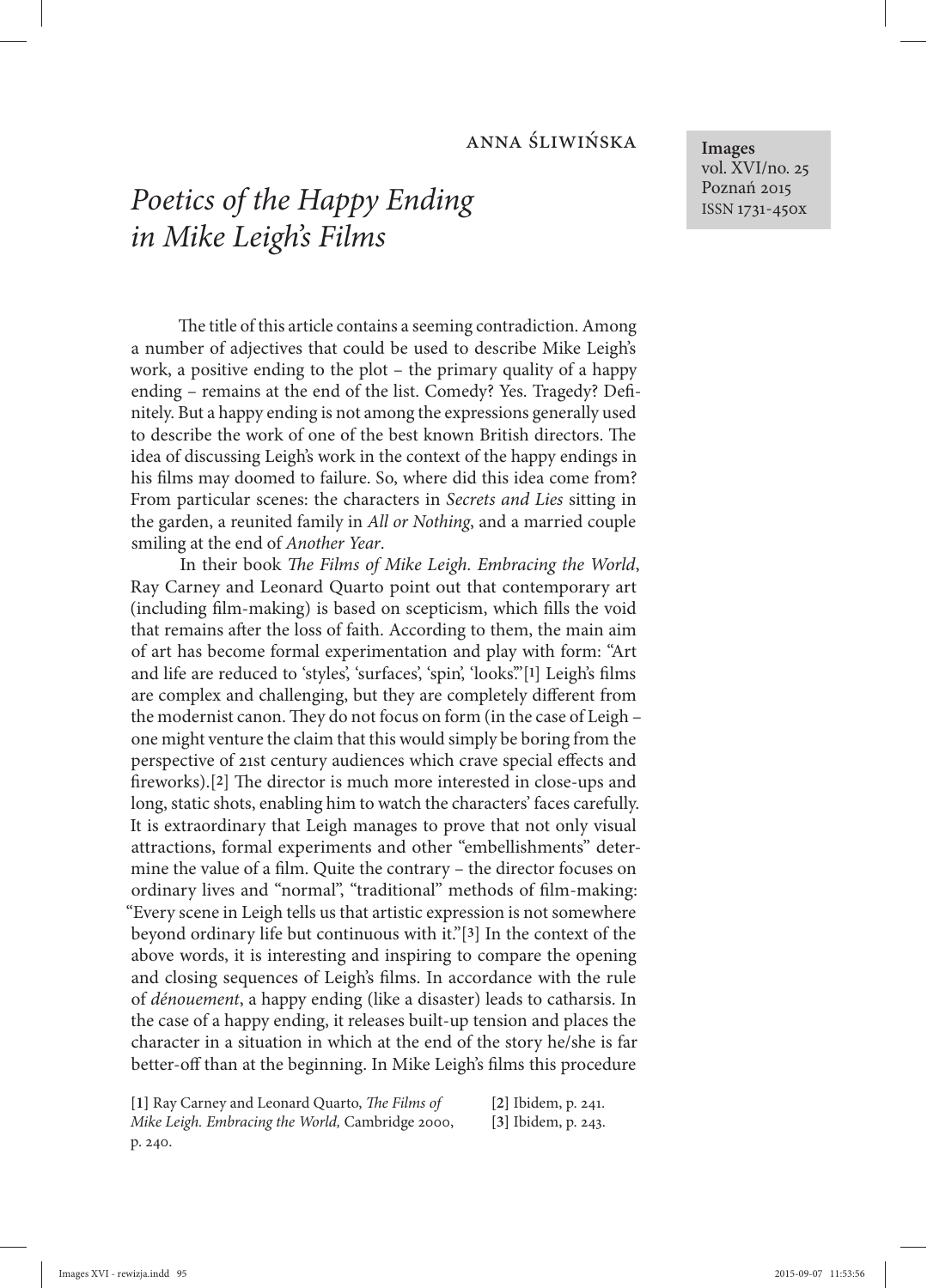## anna śliwińska

## *Poetics of the Happy Ending in Mike Leigh's Films*

The title of this article contains a seeming contradiction. Among a number of adjectives that could be used to describe Mike Leigh's work, a positive ending to the plot – the primary quality of a happy ending – remains at the end of the list. Comedy? Yes. Tragedy? Definitely. But a happy ending is not among the expressions generally used to describe the work of one of the best known British directors. The idea of discussing Leigh's work in the context of the happy endings in his films may doomed to failure. So, where did this idea come from? From particular scenes: the characters in *Secrets and Lies* sitting in the garden, a reunited family in *All or Nothing*, and a married couple smiling at the end of *Another Year*.

In their book *The Films of Mike Leigh. Embracing the World*, Ray Carney and Leonard Quarto point out that contemporary art (including film-making) is based on scepticism, which fills the void that remains after the loss of faith. According to them, the main aim of art has become formal experimentation and play with form: "Art and life are reduced to 'styles', 'surfaces', 'spin', 'looks'."[1] Leigh's films are complex and challenging, but they are completely different from the modernist canon. They do not focus on form (in the case of Leigh one might venture the claim that this would simply be boring from the perspective of 21st century audiences which crave special effects and fireworks).[2] The director is much more interested in close-ups and long, static shots, enabling him to watch the characters' faces carefully. It is extraordinary that Leigh manages to prove that not only visual attractions, formal experiments and other "embellishments" determine the value of a film. Quite the contrary - the director focuses on ordinary lives and "normal", "traditional" methods of film-making: "Every scene in Leigh tells us that artistic expression is not somewhere beyond ordinary life but continuous with it." $[3]$  In the context of the above words, it is interesting and inspiring to compare the opening and closing sequences of Leigh's films. In accordance with the rule of *dénouement*, a happy ending (like a disaster) leads to catharsis. In the case of a happy ending, it releases built-up tension and places the character in a situation in which at the end of the story he/she is far better-off than at the beginning. In Mike Leigh's films this procedure

| [1] Ray Carney and Leonard Quarto, The Films of  | [2] Ibidem, p. 241.   |
|--------------------------------------------------|-----------------------|
| Mike Leigh. Embracing the World, Cambridge 2000, | $[3]$ Ibidem, p. 243. |
| p. 240.                                          |                       |

**Images** vol. XVI/no. 25 Poznań 2015 ISSN 1731-450x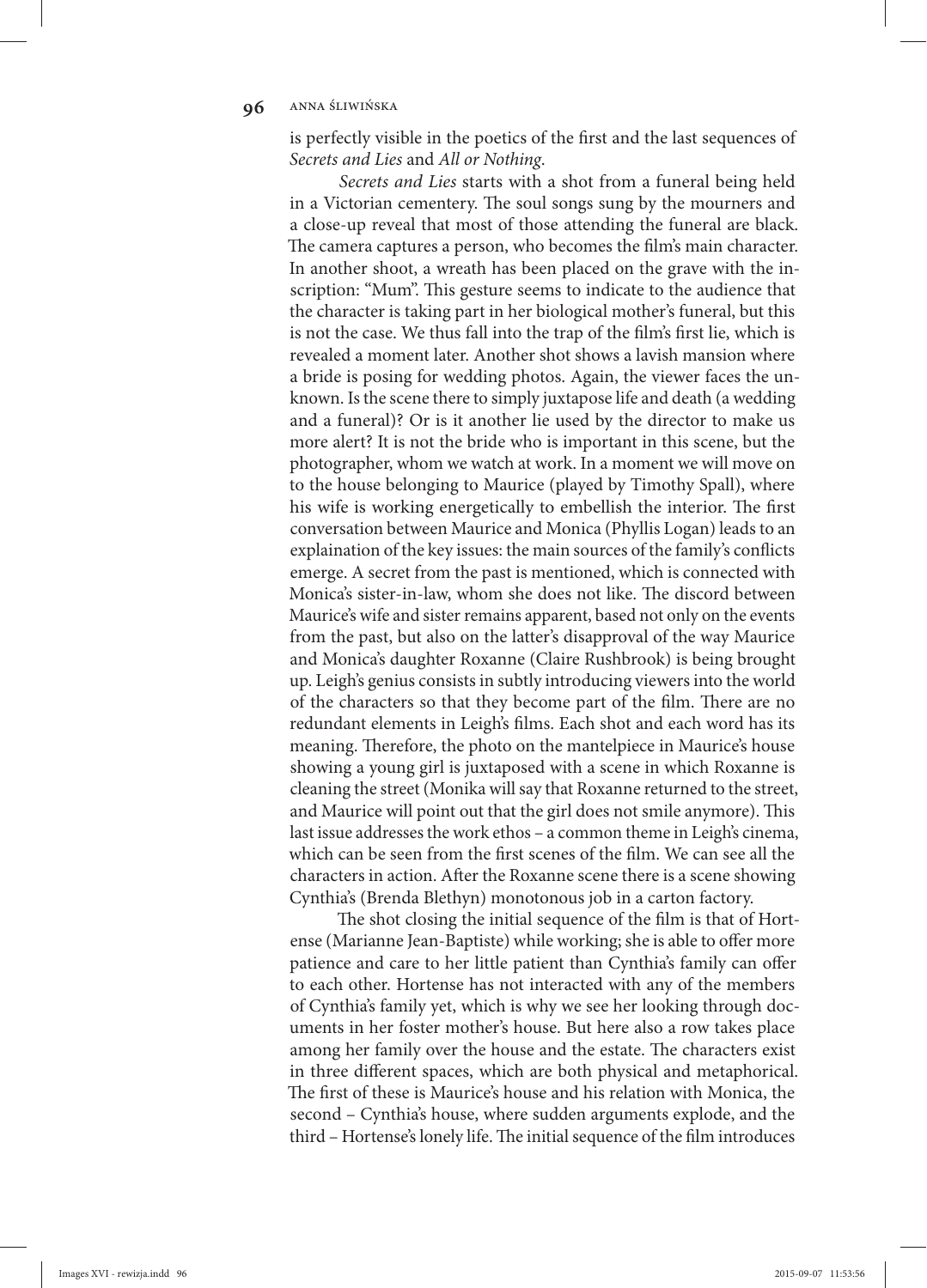## **96** ANNA ŚLIWIŃSKA

is perfectly visible in the poetics of the first and the last sequences of *Secrets and Lies* and *All or Nothing*.

*Secrets and Lies* starts with a shot from a funeral being held in a Victorian cementery. The soul songs sung by the mourners and a close-up reveal that most of those attending the funeral are black. The camera captures a person, who becomes the film's main character. In another shoot, a wreath has been placed on the grave with the inscription: "Mum". This gesture seems to indicate to the audience that the character is taking part in her biological mother's funeral, but this is not the case. We thus fall into the trap of the film's first lie, which is revealed a moment later. Another shot shows a lavish mansion where a bride is posing for wedding photos. Again, the viewer faces the unknown. Is the scene there to simply juxtapose life and death (a wedding and a funeral)? Or is it another lie used by the director to make us more alert? It is not the bride who is important in this scene, but the photographer, whom we watch at work. In a moment we will move on to the house belonging to Maurice (played by Timothy Spall), where his wife is working energetically to embellish the interior. The first conversation between Maurice and Monica (Phyllis Logan) leads to an explaination of the key issues: the main sources of the family's conflicts emerge. A secret from the past is mentioned, which is connected with Monica's sister-in-law, whom she does not like. The discord between Maurice's wife and sister remains apparent, based not only on the events from the past, but also on the latter's disapproval of the way Maurice and Monica's daughter Roxanne (Claire Rushbrook) is being brought up. Leigh's genius consists in subtly introducing viewers into the world of the characters so that they become part of the film. There are no redundant elements in Leigh's films. Each shot and each word has its meaning. Therefore, the photo on the mantelpiece in Maurice's house showing a young girl is juxtaposed with a scene in which Roxanne is cleaning the street (Monika will say that Roxanne returned to the street, and Maurice will point out that the girl does not smile anymore). This last issue addresses the work ethos – a common theme in Leigh's cinema, which can be seen from the first scenes of the film. We can see all the characters in action. After the Roxanne scene there is a scene showing Cynthia's (Brenda Blethyn) monotonous job in a carton factory.

The shot closing the initial sequence of the film is that of Hortense (Marianne Jean-Baptiste) while working; she is able to offer more patience and care to her little patient than Cynthia's family can offer to each other. Hortense has not interacted with any of the members of Cynthia's family yet, which is why we see her looking through documents in her foster mother's house. But here also a row takes place among her family over the house and the estate. The characters exist in three different spaces, which are both physical and metaphorical. The first of these is Maurice's house and his relation with Monica, the second – Cynthia's house, where sudden arguments explode, and the third - Hortense's lonely life. The initial sequence of the film introduces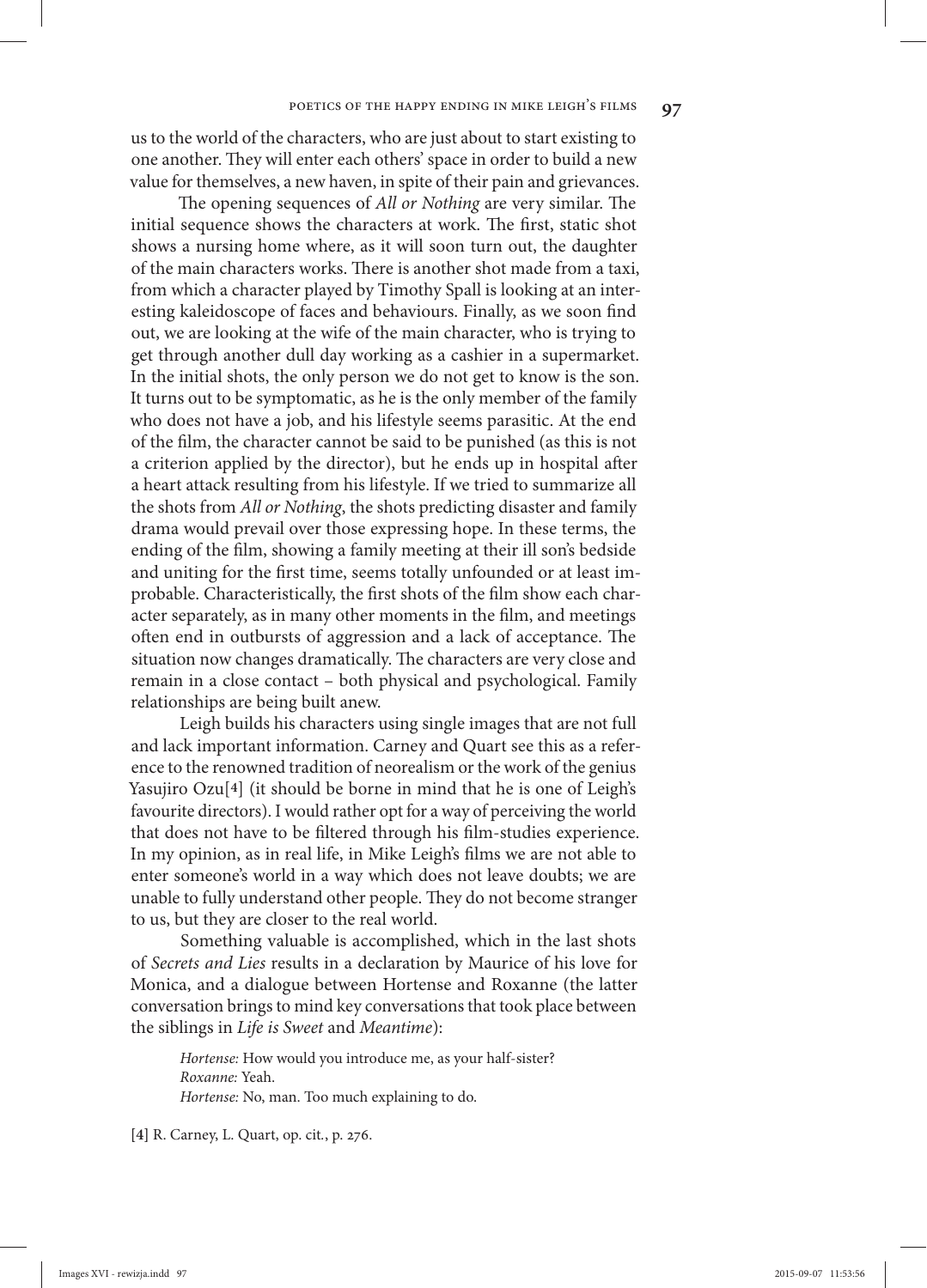us to the world of the characters, who are just about to start existing to one another. They will enter each others' space in order to build a new value for themselves, a new haven, in spite of their pain and grievances.

The opening sequences of *All or Nothing* are very similar. The initial sequence shows the characters at work. The first, static shot shows a nursing home where, as it will soon turn out, the daughter of the main characters works. There is another shot made from a taxi, from which a character played by Timothy Spall is looking at an interesting kaleidoscope of faces and behaviours. Finally, as we soon find out, we are looking at the wife of the main character, who is trying to get through another dull day working as a cashier in a supermarket. In the initial shots, the only person we do not get to know is the son. It turns out to be symptomatic, as he is the only member of the family who does not have a job, and his lifestyle seems parasitic. At the end of the film, the character cannot be said to be punished (as this is not a criterion applied by the director), but he ends up in hospital after a heart attack resulting from his lifestyle. If we tried to summarize all the shots from *All or Nothing*, the shots predicting disaster and family drama would prevail over those expressing hope. In these terms, the ending of the film, showing a family meeting at their ill son's bedside and uniting for the first time, seems totally unfounded or at least improbable. Characteristically, the first shots of the film show each character separately, as in many other moments in the film, and meetings often end in outbursts of aggression and a lack of acceptance. The situation now changes dramatically. The characters are very close and remain in a close contact – both physical and psychological. Family relationships are being built anew.

Leigh builds his characters using single images that are not full and lack important information. Carney and Quart see this as a reference to the renowned tradition of neorealism or the work of the genius Yasujiro Ozu<sup>[4]</sup> (it should be borne in mind that he is one of Leigh's favourite directors). I would rather opt for a way of perceiving the world that does not have to be filtered through his film-studies experience. In my opinion, as in real life, in Mike Leigh's films we are not able to enter someone's world in a way which does not leave doubts; we are unable to fully understand other people. They do not become stranger to us, but they are closer to the real world.

Something valuable is accomplished, which in the last shots of *Secrets and Lies* results in a declaration by Maurice of his love for Monica, and a dialogue between Hortense and Roxanne (the latter conversation brings to mind key conversations that took place between the siblings in *Life is Sweet* and *Meantime*):

*Hortense:* How would you introduce me, as your half-sister? *Roxanne:* Yeah. *Hortense:* No, man. Too much explaining to do.

**[4]** R. Carney, L. Quart, op. cit*.*, p. 276.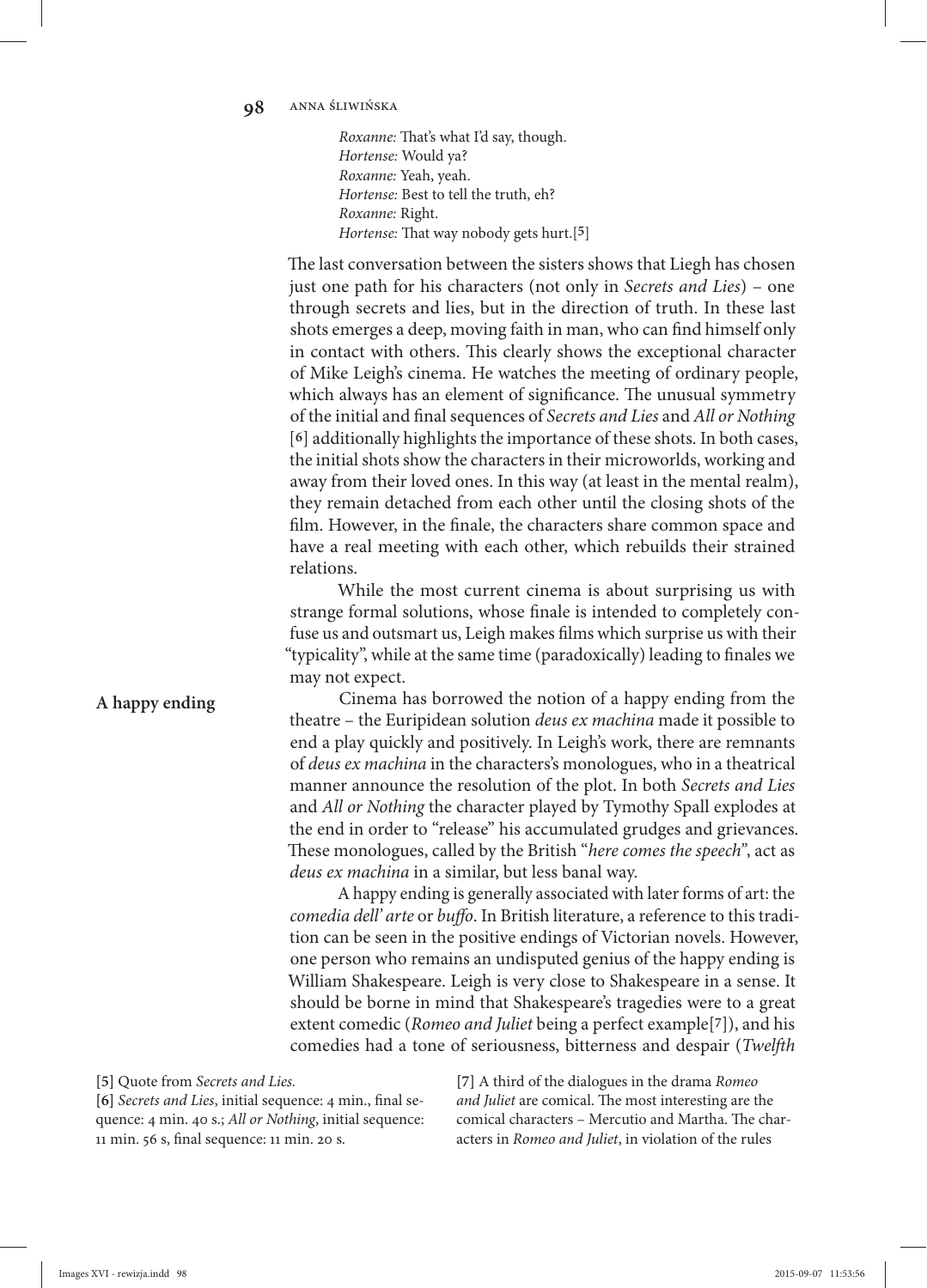*Roxanne:* That's what I'd say, though. *Hortense:* Would ya? *Roxanne:* Yeah, yeah. *Hortense:* Best to tell the truth, eh? *Roxanne:* Right. *Hortense:* That way nobody gets hurt.[5]

The last conversation between the sisters shows that Liegh has chosen just one path for his characters (not only in *Secrets and Lies*) – one through secrets and lies, but in the direction of truth. In these last shots emerges a deep, moving faith in man, who can find himself only in contact with others. This clearly shows the exceptional character of Mike Leigh's cinema. He watches the meeting of ordinary people, which always has an element of significance. The unusual symmetry of the initial and final sequences of *Secrets and Lies* and *All or Nothing* [6] additionally highlights the importance of these shots. In both cases, the initial shots show the characters in their microworlds, working and away from their loved ones. In this way (at least in the mental realm), they remain detached from each other until the closing shots of the film. However, in the finale, the characters share common space and have a real meeting with each other, which rebuilds their strained relations.

While the most current cinema is about surprising us with strange formal solutions, whose finale is intended to completely confuse us and outsmart us, Leigh makes films which surprise us with their "typicality", while at the same time (paradoxically) leading to finales we may not expect.

Cinema has borrowed the notion of a happy ending from the theatre – the Euripidean solution *deus ex machina* made it possible to end a play quickly and positively. In Leigh's work, there are remnants of *deus ex machina* in the characters's monologues, who in a theatrical manner announce the resolution of the plot. In both *Secrets and Lies* and *All or Nothing* the character played by Tymothy Spall explodes at the end in order to "release" his accumulated grudges and grievances. These monologues, called by the British "*here comes the speech*", act as *deus ex machina* in a similar, but less banal way.

A happy ending is generally associated with later forms of art: the *comedia dell' arte* or *buffo*. In British literature, a reference to this tradition can be seen in the positive endings of Victorian novels. However, one person who remains an undisputed genius of the happy ending is William Shakespeare. Leigh is very close to Shakespeare in a sense. It should be borne in mind that Shakespeare's tragedies were to a great extent comedic (*Romeo and Juliet* being a perfect example<sup>[7]</sup>), and his comedies had a tone of seriousness, bitterness and despair (*Twelfth* 

**[5]** Quote from *Secrets and Lies.*

[6] *Secrets and Lies*, initial sequence: 4 min., final sequence: 4 min. 40 s.; *All or Nothing*, initial sequence: 11 min. 56 s, final sequence: 11 min. 20 s.

**[7]** A third of the dialogues in the drama *Romeo*  and Juliet are comical. The most interesting are the comical characters - Mercutio and Martha. The characters in *Romeo and Juliet*, in violation of the rules

**A happy ending**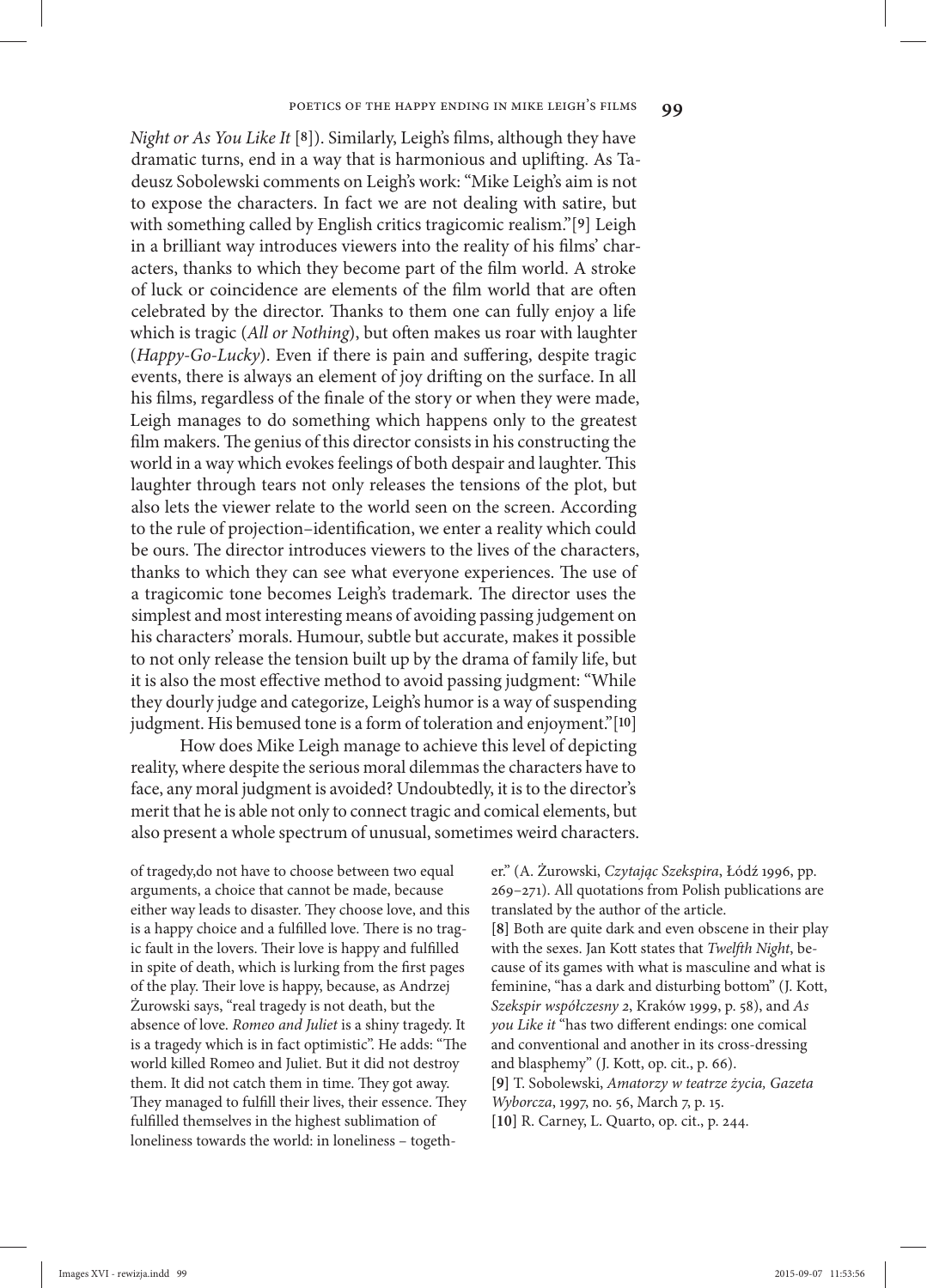*Night or As You Like It* [8]). Similarly, Leigh's films, although they have dramatic turns, end in a way that is harmonious and uplifting. As Tadeusz Sobolewski comments on Leigh's work: "Mike Leigh's aim is not to expose the characters. In fact we are not dealing with satire, but with something called by English critics tragicomic realism."[9] Leigh in a brilliant way introduces viewers into the reality of his films' characters, thanks to which they become part of the film world. A stroke of luck or coincidence are elements of the film world that are often celebrated by the director. Thanks to them one can fully enjoy a life which is tragic (All or Nothing), but often makes us roar with laughter (*Happy-Go-Lucky*). Even if there is pain and suffering, despite tragic events, there is always an element of joy drifting on the surface. In all his films, regardless of the finale of the story or when they were made, Leigh manages to do something which happens only to the greatest film makers. The genius of this director consists in his constructing the world in a way which evokes feelings of both despair and laughter. This laughter through tears not only releases the tensions of the plot, but also lets the viewer relate to the world seen on the screen. According to the rule of projection–identification, we enter a reality which could be ours. The director introduces viewers to the lives of the characters, thanks to which they can see what everyone experiences. The use of a tragicomic tone becomes Leigh's trademark. The director uses the simplest and most interesting means of avoiding passing judgement on his characters' morals. Humour, subtle but accurate, makes it possible to not only release the tension built up by the drama of family life, but it is also the most effective method to avoid passing judgment: "While they dourly judge and categorize, Leigh's humor is a way of suspending judgment. His bemused tone is a form of toleration and enjoyment."[10]

How does Mike Leigh manage to achieve this level of depicting reality, where despite the serious moral dilemmas the characters have to face, any moral judgment is avoided? Undoubtedly, it is to the director's merit that he is able not only to connect tragic and comical elements, but also present a whole spectrum of unusual, sometimes weird characters.

of tragedy,do not have to choose between two equal arguments, a choice that cannot be made, because either way leads to disaster. They choose love, and this is a happy choice and a fulfilled love. There is no tragic fault in the lovers. Their love is happy and fulfilled in spite of death, which is lurking from the first pages of the play. Their love is happy, because, as Andrzej Żurowski says, "real tragedy is not death, but the absence of love. *Romeo and Juliet* is a shiny tragedy. It is a tragedy which is in fact optimistic". He adds: "The world killed Romeo and Juliet. But it did not destroy them. It did not catch them in time. They got away. They managed to fulfill their lives, their essence. They fulfilled themselves in the highest sublimation of loneliness towards the world: in loneliness – together." (A. Żurowski, *Czytając Szekspira*, Łódź 1996, pp. 269–271). All quotations from Polish publications are translated by the author of the article. **[8]** Both are quite dark and even obscene in their play with the sexes. Jan Kott states that *Twelfth Night*, because of its games with what is masculine and what is feminine, "has a dark and disturbing bottom" (J. Kott, *Szekspir współczesny 2*, Kraków 1999, p. 58), and *As you Like it* "has two different endings: one comical and conventional and another in its cross-dressing and blasphemy" (J. Kott, op. cit., p. 66). **[9]** T. Sobolewski, *Amatorzy w teatrze życia, Gazeta Wyborcza*, 1997, no. 56, March 7, p. 15. **[10]** R. Carney, L. Quarto, op. cit., p. 244.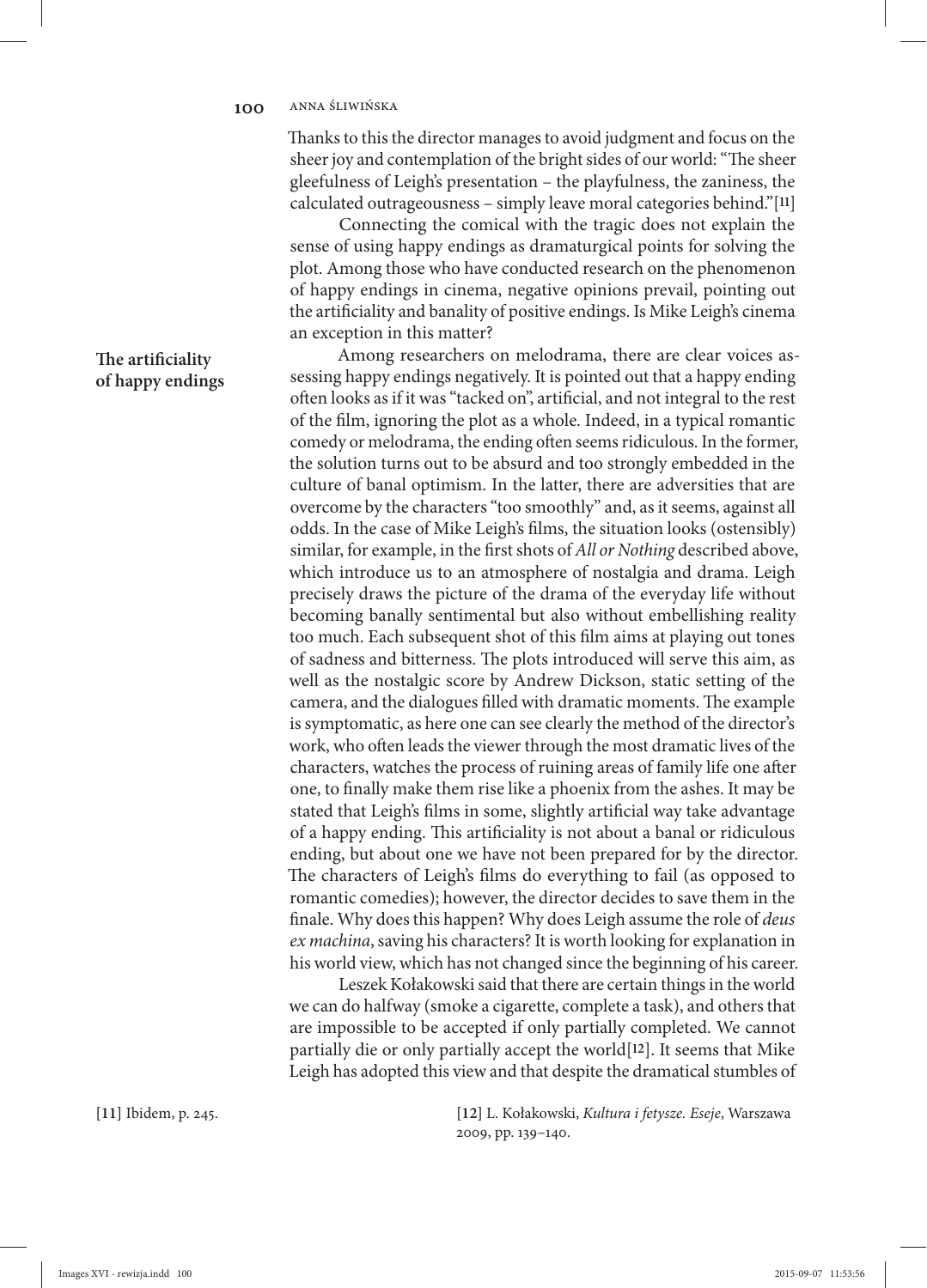Thanks to this the director manages to avoid judgment and focus on the sheer joy and contemplation of the bright sides of our world: "The sheer gleefulness of Leigh's presentation – the playfulness, the zaniness, the calculated outrageousness - simply leave moral categories behind." $[11]$ 

Connecting the comical with the tragic does not explain the sense of using happy endings as dramaturgical points for solving the plot. Among those who have conducted research on the phenomenon of happy endings in cinema, negative opinions prevail, pointing out the artificiality and banality of positive endings. Is Mike Leigh's cinema an exception in this matter?

Among researchers on melodrama, there are clear voices assessing happy endings negatively. It is pointed out that a happy ending often looks as if it was "tacked on", artificial, and not integral to the rest of the film, ignoring the plot as a whole. Indeed, in a typical romantic comedy or melodrama, the ending often seems ridiculous. In the former, the solution turns out to be absurd and too strongly embedded in the culture of banal optimism. In the latter, there are adversities that are overcome by the characters "too smoothly" and, as it seems, against all odds. In the case of Mike Leigh's films, the situation looks (ostensibly) similar, for example, in the first shots of *All or Nothing* described above, which introduce us to an atmosphere of nostalgia and drama. Leigh precisely draws the picture of the drama of the everyday life without becoming banally sentimental but also without embellishing reality too much. Each subsequent shot of this film aims at playing out tones of sadness and bitterness. The plots introduced will serve this aim, as well as the nostalgic score by Andrew Dickson, static setting of the camera, and the dialogues filled with dramatic moments. The example is symptomatic, as here one can see clearly the method of the director's work, who often leads the viewer through the most dramatic lives of the characters, watches the process of ruining areas of family life one after one, to finally make them rise like a phoenix from the ashes. It may be stated that Leigh's films in some, slightly artificial way take advantage of a happy ending. This artificiality is not about a banal or ridiculous ending, but about one we have not been prepared for by the director. The characters of Leigh's films do everything to fail (as opposed to romantic comedies); however, the director decides to save them in the finale. Why does this happen? Why does Leigh assume the role of *deus ex machina*, saving his characters? It is worth looking for explanation in his world view, which has not changed since the beginning of his career.

Leszek Kołakowski said that there are certain things in the world we can do halfway (smoke a cigarette, complete a task), and others that are impossible to be accepted if only partially completed. We cannot partially die or only partially accept the world<sup>[12]</sup>. It seems that Mike Leigh has adopted this view and that despite the dramatical stumbles of

**[11]** Ibidem, p. 245. **[12]** L. Kołakowski, *Kultura i fetysze. Eseje*, Warszawa 2009, pp. 139–140.

**The artificiality of happy endings**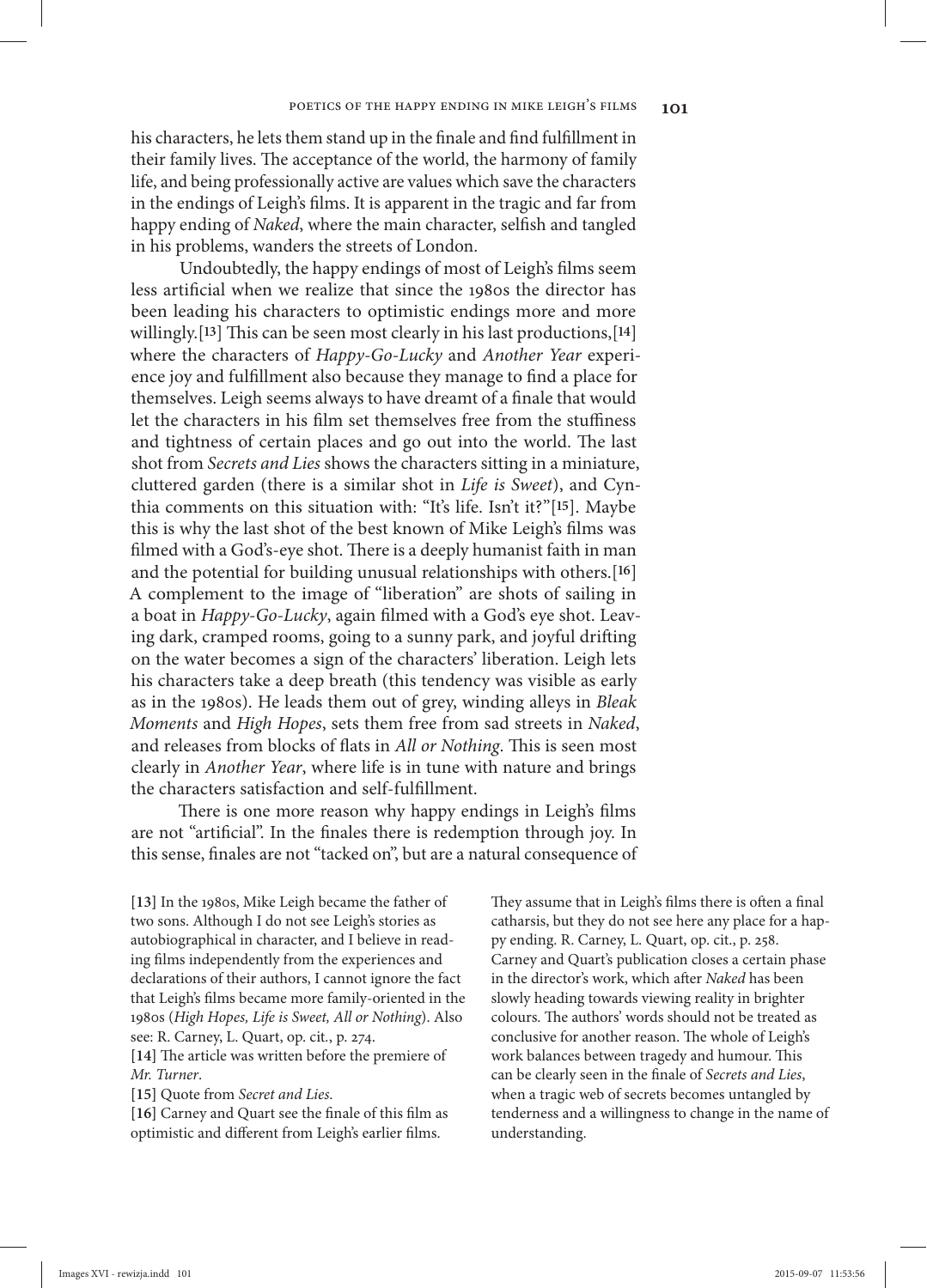his characters, he lets them stand up in the finale and find fulfillment in their family lives. The acceptance of the world, the harmony of family life, and being professionally active are values which save the characters in the endings of Leigh's films. It is apparent in the tragic and far from happy ending of *Naked*, where the main character, selfish and tangled in his problems, wanders the streets of London.

Undoubtedly, the happy endings of most of Leigh's films seem less artificial when we realize that since the 1980s the director has been leading his characters to optimistic endings more and more willingly.<sup>[13]</sup> This can be seen most clearly in his last productions,<sup>[14]</sup> where the characters of *Happy-Go-Lucky* and *Another Year* experience joy and fulfillment also because they manage to find a place for themselves. Leigh seems always to have dreamt of a finale that would let the characters in his film set themselves free from the stuffiness and tightness of certain places and go out into the world. The last shot from *Secrets and Lies* shows the characters sitting in a miniature, cluttered garden (there is a similar shot in *Life is Sweet*), and Cynthia comments on this situation with: "It's life. Isn't it?"[15]. Maybe this is why the last shot of the best known of Mike Leigh's films was filmed with a God's-eye shot. There is a deeply humanist faith in man and the potential for building unusual relationships with others.<sup>[16]</sup> A complement to the image of "liberation" are shots of sailing in a boat in *Happy-Go-Lucky*, again filmed with a God's eye shot. Leaving dark, cramped rooms, going to a sunny park, and joyful drifting on the water becomes a sign of the characters' liberation. Leigh lets his characters take a deep breath (this tendency was visible as early as in the 1980s). He leads them out of grey, winding alleys in *Bleak Moments* and *High Hopes*, sets them free from sad streets in *Naked*, and releases from blocks of flats in *All or Nothing*. This is seen most clearly in *Another Year*, where life is in tune with nature and brings the characters satisfaction and self-fulfillment.

There is one more reason why happy endings in Leigh's films are not "artificial". In the finales there is redemption through joy. In this sense, finales are not "tacked on", but are a natural consequence of

**[13]** In the 1980s, Mike Leigh became the father of two sons. Although I do not see Leigh's stories as autobiographical in character, and I believe in reading films independently from the experiences and declarations of their authors, I cannot ignore the fact that Leigh's films became more family-oriented in the 1980s (*High Hopes, Life is Sweet, All or Nothing*). Also see: R. Carney, L. Quart, op. cit*.*, p. 274.

[14] The article was written before the premiere of *Mr. Turner*.

**[15]** Quote from *Secret and Lies*.

[16] Carney and Quart see the finale of this film as optimistic and different from Leigh's earlier films.

They assume that in Leigh's films there is often a final catharsis, but they do not see here any place for a happy ending. R. Carney, L. Quart, op. cit., p. 258. Carney and Quart's publication closes a certain phase in the director's work, which after *Naked* has been slowly heading towards viewing reality in brighter colours. The authors' words should not be treated as conclusive for another reason. The whole of Leigh's work balances between tragedy and humour. This can be clearly seen in the finale of *Secrets and Lies*, when a tragic web of secrets becomes untangled by tenderness and a willingness to change in the name of understanding.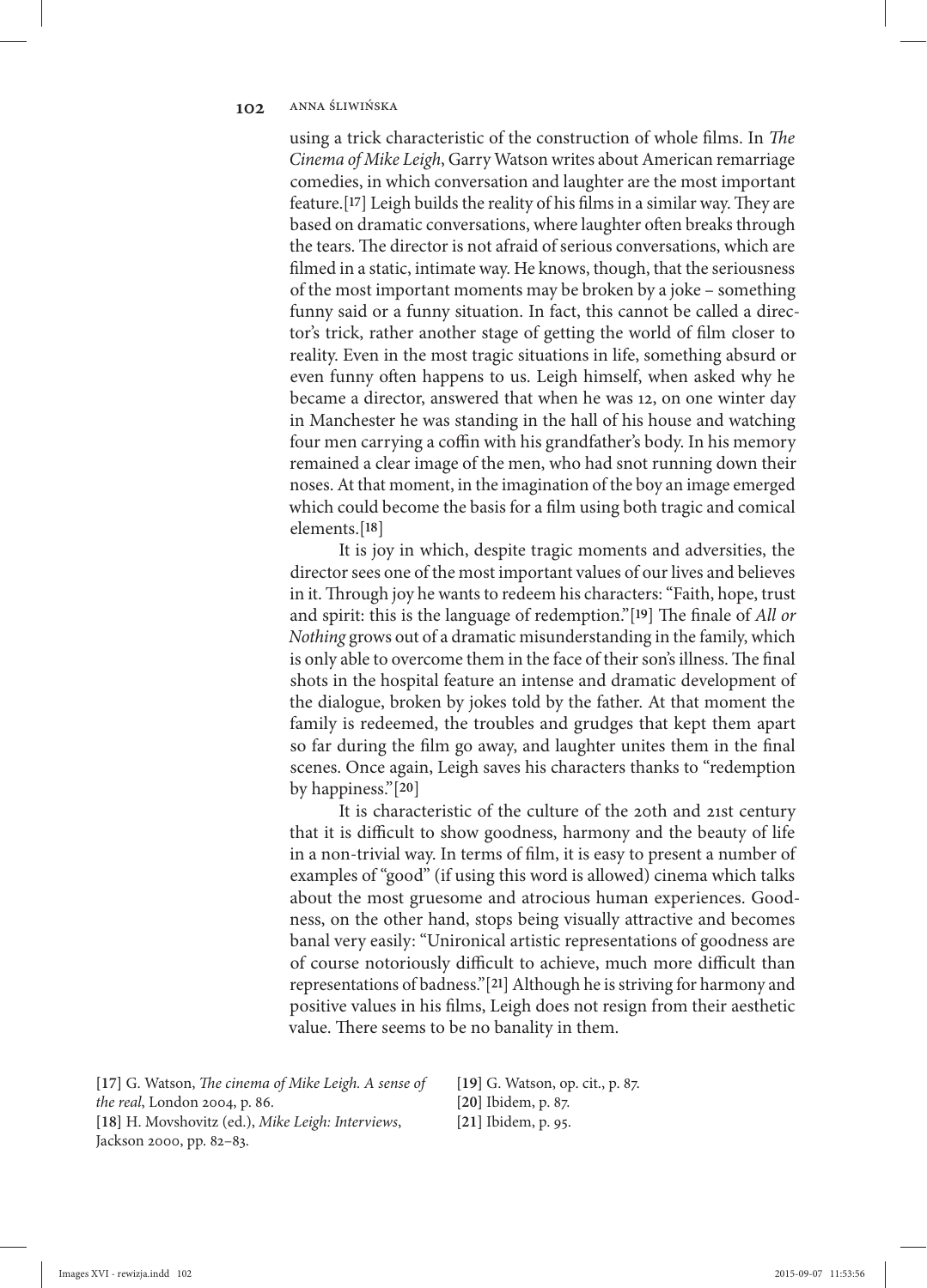## 102. ANNA ŚLIWIŃSKA

using a trick characteristic of the construction of whole films. In *The Cinema of Mike Leigh*, Garry Watson writes about American remarriage comedies, in which conversation and laughter are the most important feature.<sup>[17]</sup> Leigh builds the reality of his films in a similar way. They are based on dramatic conversations, where laughter often breaks through the tears. The director is not afraid of serious conversations, which are filmed in a static, intimate way. He knows, though, that the seriousness of the most important moments may be broken by a joke – something funny said or a funny situation. In fact, this cannot be called a director's trick, rather another stage of getting the world of film closer to reality. Even in the most tragic situations in life, something absurd or even funny often happens to us. Leigh himself, when asked why he became a director, answered that when he was 12, on one winter day in Manchester he was standing in the hall of his house and watching four men carrying a coffin with his grandfather's body. In his memory remained a clear image of the men, who had snot running down their noses. At that moment, in the imagination of the boy an image emerged which could become the basis for a film using both tragic and comical elements.<sup>[18]</sup>

It is joy in which, despite tragic moments and adversities, the director sees one of the most important values of our lives and believes in it. Through joy he wants to redeem his characters: "Faith, hope, trust and spirit: this is the language of redemption."[19] The finale of *All or Nothing* grows out of a dramatic misunderstanding in the family, which is only able to overcome them in the face of their son's illness. The final shots in the hospital feature an intense and dramatic development of the dialogue, broken by jokes told by the father. At that moment the family is redeemed, the troubles and grudges that kept them apart so far during the film go away, and laughter unites them in the final scenes. Once again, Leigh saves his characters thanks to "redemption by happiness." $[20]$ 

It is characteristic of the culture of the 20th and 21st century that it is difficult to show goodness, harmony and the beauty of life in a non-trivial way. In terms of film, it is easy to present a number of examples of "good" (if using this word is allowed) cinema which talks about the most gruesome and atrocious human experiences. Goodness, on the other hand, stops being visually attractive and becomes banal very easily: "Unironical artistic representations of goodness are of course notoriously difficult to achieve, much more difficult than representations of badness."[21] Although he is striving for harmony and positive values in his films, Leigh does not resign from their aesthetic value. There seems to be no banality in them.

[17] G. Watson, *The cinema of Mike Leigh*. A sense of *the real*, London 2004, p. 86. **[18]** H. Movshovitz (ed.), *Mike Leigh: Interviews*, Jackson 2000, pp. 82–83.

**[19]** G. Watson, op. cit., p. 87. **[20]** Ibidem, p. 87. **[21]** Ibidem, p. 95.